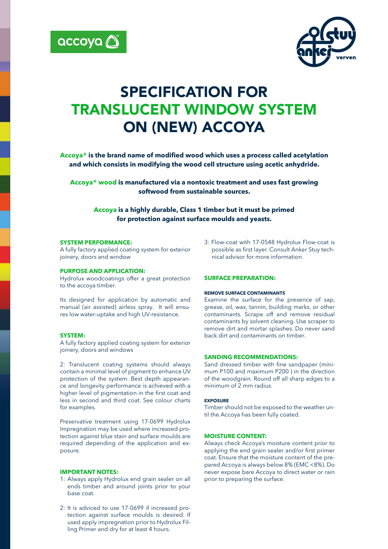



# SPECIFICATION FOR TRANSLUCENT WINDOW SYSTEM ON (NEW) ACCOYA

**Accoya® is the brand name of modified wood which uses a process called acetylation and which consists in modifying the wood cell structure using acetic anhydride.**

**Accoya® wood is manufactured via a nontoxic treatment and uses fast growing softwood from sustainable sources.** 

**Accoya is a highly durable, Class 1 timber but it must be primed for protection against surface moulds and yeasts.**

#### **SYSTEM PERFORMANCE:**

A fully factory applied coating system for exterior joinery, doors and window

#### **PURPOSE AND APPLICATION:**

Hydrolux woodcoatings offer a great protection to the accoya timber.

Its designed for application by automatic and manual (air assisted) airless spray. It will ensures low water-uptake and high UV-resistance.

## **SYSTEM:**

A fully factory applied coating system for exterior joinery, doors and windows

2: Translucent coating systems should always contain a minimal level of pigment to enhance UV protection of the system. Best depth appearance and longevity performance is achieved with a higher level of pigmentation in the first coat and less in second and third coat. See colour charts for examples.

Preservative treatment using 17-0699 Hydrolux Impregnation may be used where increased protection against blue stain and surface moulds are required depending of the application and exposure.

#### **IMPORTANT NOTES:**

- 1: Always apply Hydrolux end grain sealer on all ends timber and around joints prior to your base coat.
- 2: It is adviced to use 17-0699 if increased protection against surface moulds is desired. If used apply impregnation prior to Hydrolux Filling Primer and dry for at least 4 hours.

3: Flow-coat with 17-0548 Hydrolux Flow-coat is possible as first layer. Consult Anker Stuy technical advisor for more information.

## **SURFACE PREPARATION:**

#### **REMOVE SURFACE CONTAMINANTS**

Examine the surface for the presence of sap, grease, oil, wax, tannin, building marks, or other contaminants. Scrape off and remove residual contaminants by solvent cleaning. Use scraper to remove dirt and mortar splashes. Do never sand back dirt and contaminants on timber.

#### **SANDING RECOMMENDATIONS:**

Sand dressed timber with fine sandpaper (minimum P100 and maximum P200 ) in the direction of the woodgrain. Round off all sharp edges to a minimum of 2 mm radius.

#### **EXPOSURE**

Timber should not be exposed to the weather until the Accoya has been fully coated.

#### **MOISTURE CONTENT:**

Always check Accoya's moisture content prior to applying the end grain sealer and/or first primer coat. Ensure that the moisture content of the prepared Accoya is always below 8% (EMC <8%). Do never expose bare Accoya to direct water or rain prior to preparing the surface.